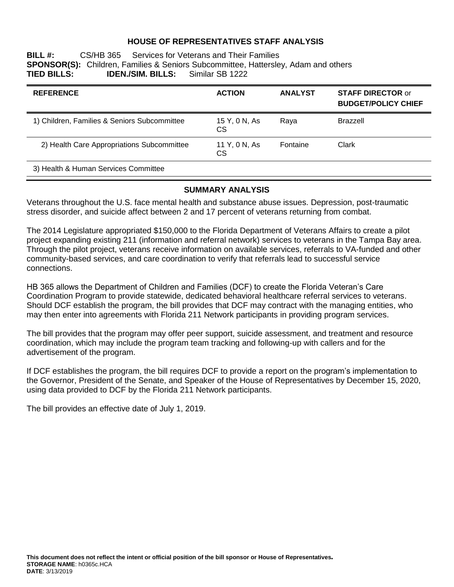### **HOUSE OF REPRESENTATIVES STAFF ANALYSIS**

**BILL #:** CS/HB 365 Services for Veterans and Their Families **SPONSOR(S):** Children, Families & Seniors Subcommittee, Hattersley, Adam and others **IDEN./SIM. BILLS:** 

| <b>REFERENCE</b>                             | <b>ACTION</b>              | <b>ANALYST</b> | <b>STAFF DIRECTOR or</b><br><b>BUDGET/POLICY CHIEF</b> |
|----------------------------------------------|----------------------------|----------------|--------------------------------------------------------|
| 1) Children, Families & Seniors Subcommittee | 15 Y, 0 N, As<br>CS        | Raya           | Brazzell                                               |
| 2) Health Care Appropriations Subcommittee   | 11 Y, 0 N, As<br><b>CS</b> | Fontaine       | Clark                                                  |
| 3) Health & Human Services Committee         |                            |                |                                                        |

#### **SUMMARY ANALYSIS**

Veterans throughout the U.S. face mental health and substance abuse issues. Depression, post-traumatic stress disorder, and suicide affect between 2 and 17 percent of veterans returning from combat.

The 2014 Legislature appropriated \$150,000 to the Florida Department of Veterans Affairs to create a pilot project expanding existing 211 (information and referral network) services to veterans in the Tampa Bay area. Through the pilot project, veterans receive information on available services, referrals to VA-funded and other community-based services, and care coordination to verify that referrals lead to successful service connections.

HB 365 allows the Department of Children and Families (DCF) to create the Florida Veteran's Care Coordination Program to provide statewide, dedicated behavioral healthcare referral services to veterans. Should DCF establish the program, the bill provides that DCF may contract with the managing entities, who may then enter into agreements with Florida 211 Network participants in providing program services.

The bill provides that the program may offer peer support, suicide assessment, and treatment and resource coordination, which may include the program team tracking and following-up with callers and for the advertisement of the program.

If DCF establishes the program, the bill requires DCF to provide a report on the program's implementation to the Governor, President of the Senate, and Speaker of the House of Representatives by December 15, 2020, using data provided to DCF by the Florida 211 Network participants.

The bill provides an effective date of July 1, 2019.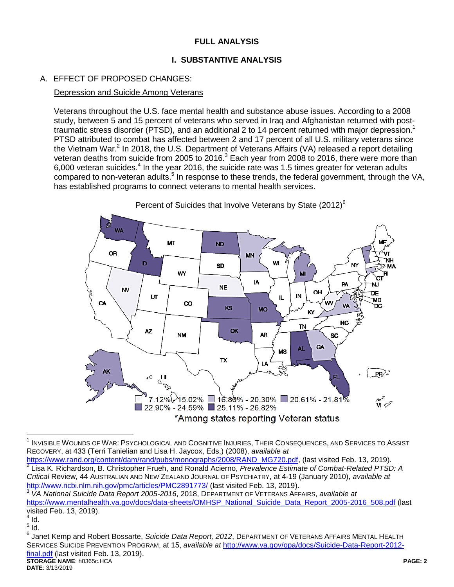# **FULL ANALYSIS**

# **I. SUBSTANTIVE ANALYSIS**

# A. EFFECT OF PROPOSED CHANGES:

#### Depression and Suicide Among Veterans

Veterans throughout the U.S. face mental health and substance abuse issues. According to a 2008 study, between 5 and 15 percent of veterans who served in Iraq and Afghanistan returned with posttraumatic stress disorder (PTSD), and an additional 2 to 14 percent returned with major depression.<sup>1</sup> PTSD attributed to combat has affected between 2 and 17 percent of all U.S. military veterans since the Vietnam War.<sup>2</sup> In 2018, the U.S. Department of Veterans Affairs (VA) released a report detailing veteran deaths from suicide from 2005 to 2016.<sup>3</sup> Each year from 2008 to 2016, there were more than 6,000 veteran suicides. $4$  In the year 2016, the suicide rate was 1.5 times greater for veteran adults compared to non-veteran adults.<sup>5</sup> In response to these trends, the federal government, through the VA, has established programs to connect veterans to mental health services.



Percent of Suicides that Involve Veterans by State (2012)<sup>6</sup>

 $\overline{a}$  $^{\rm 1}$  Invisible Wounds of War: Psychological and Cognitive Injuries, Their Consequences, and Services to Assist RECOVERY, at 433 (Terri Tanielian and Lisa H. Jaycox, Eds,) (2008), *available at* 

[https://www.rand.org/content/dam/rand/pubs/monographs/2008/RAND\\_MG720.pdf,](https://www.rand.org/content/dam/rand/pubs/monographs/2008/RAND_MG720.pdf) (last visited Feb. 13, 2019).<br><sup>2</sup> Lise K. Bichardean, B. Christepher Fruch, and Banald Acierna, *Provolance Entimate of Cambat Bolated PTSI* Lisa K. Richardson, B. Christopher Frueh, and Ronald Acierno, *Prevalence Estimate of Combat-Related PTSD: A Critical* Review, 44 AUSTRALIAN AND NEW ZEALAND JOURNAL OF PSYCHIATRY, at 4-19 (January 2010), *available at* <http://www.ncbi.nlm.nih.gov/pmc/articles/PMC2891773/> (last visited Feb. 13, 2019).

<sup>3</sup> *VA National Suicide Data Report 2005-2016*, 2018, DEPARTMENT OF VETERANS AFFAIRS, *available at* [https://www.mentalhealth.va.gov/docs/data-sheets/OMHSP\\_National\\_Suicide\\_Data\\_Report\\_2005-2016\\_508.pdf](https://www.mentalhealth.va.gov/docs/data-sheets/OMHSP_National_Suicide_Data_Report_2005-2016_508.pdf) (last visited Feb. 13, 2019).

 $^{4}$  Id.

 $\frac{5}{1}$ ld. 6

**STORAGE NAME**: h0365c.HCA **PAGE: 2** Janet Kemp and Robert Bossarte, *Suicide Data Report, 2012*, DEPARTMENT OF VETERANS AFFAIRS MENTAL HEALTH SERVICES SUICIDE PREVENTION PROGRAM, at 15, *available at* [http://www.va.gov/opa/docs/Suicide-Data-Report-2012](http://www.va.gov/opa/docs/Suicide-Data-Report-2012-final.pdf) [final.pdf](http://www.va.gov/opa/docs/Suicide-Data-Report-2012-final.pdf) (last visited Feb. 13, 2019).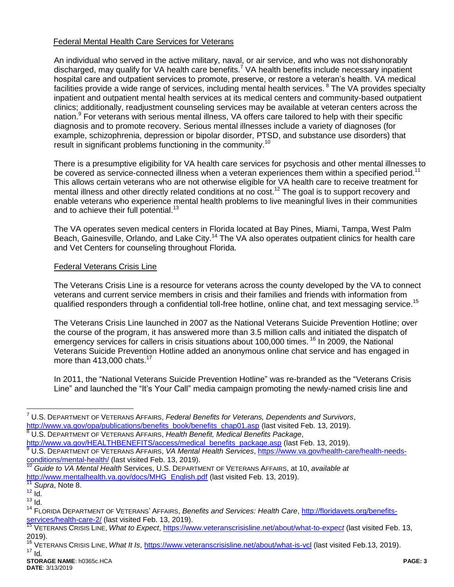### Federal Mental Health Care Services for Veterans

An individual who served in the active military, naval, or air service, and who was not dishonorably discharged, may qualify for VA health care benefits.<sup>7</sup> VA health benefits include necessary inpatient hospital care and outpatient services to promote, preserve, or restore a veteran's health. VA medical facilities provide a wide range of services, including mental health services. <sup>8</sup> The VA provides specialty inpatient and outpatient mental health services at its medical centers and community-based outpatient clinics; additionally, readjustment counseling services may be available at veteran centers across the nation.<sup>9</sup> For veterans with serious mental illness, VA offers care tailored to help with their specific diagnosis and to promote recovery. Serious mental illnesses include a variety of diagnoses (for example, schizophrenia, depression or bipolar disorder, PTSD, and substance use disorders) that result in significant problems functioning in the community.<sup>10</sup>

There is a presumptive eligibility for VA health care services for psychosis and other mental illnesses to be covered as service-connected illness when a veteran experiences them within a specified period.<sup>11</sup> This allows certain veterans who are not otherwise eligible for VA health care to receive treatment for mental illness and other directly related conditions at no cost.<sup>12</sup> The goal is to support recovery and enable veterans who experience mental health problems to live meaningful lives in their communities and to achieve their full potential.<sup>13</sup>

The VA operates seven medical centers in Florida located at Bay Pines, Miami, Tampa, West Palm Beach, Gainesville, Orlando, and Lake City.<sup>14</sup> The VA also operates outpatient clinics for health care and Vet Centers for counseling throughout Florida.

## Federal Veterans Crisis Line

The Veterans Crisis Line is a resource for veterans across the county developed by the VA to connect veterans and current service members in crisis and their families and friends with information from qualified responders through a confidential toll-free hotline, online chat, and text messaging service.<sup>15</sup>

The Veterans Crisis Line launched in 2007 as the National Veterans Suicide Prevention Hotline; over the course of the program, it has answered more than 3.5 million calls and initiated the dispatch of emergency services for callers in crisis situations about 100,000 times.<sup>16</sup> In 2009, the National Veterans Suicide Prevention Hotline added an anonymous online chat service and has engaged in more than  $413,000$  chats.<sup>17</sup>

In 2011, the "National Veterans Suicide Prevention Hotline" was re-branded as the "Veterans Crisis Line" and launched the "It's Your Call" media campaign promoting the newly-named crisis line and

<sup>8</sup> U.S. DEPARTMENT OF VETERANS AFFAIRS, *Health Benefit, Medical Benefits Package*,

 $\overline{a}$ 

<sup>7</sup> U.S. DEPARTMENT OF VETERANS AFFAIRS, *Federal Benefits for Veterans, Dependents and Survivors*, [http://www.va.gov/opa/publications/benefits\\_book/benefits\\_chap01.asp](http://www.va.gov/opa/publications/benefits_book/benefits_chap01.asp) (last visited Feb. 13, 2019).

[http://www.va.gov/HEALTHBENEFITS/access/medical\\_benefits\\_package.asp](http://www.va.gov/HEALTHBENEFITS/access/medical_benefits_package.asp) (last Feb. 13, 2019). <sup>9</sup> U.S. DEPARTMENT OF VETERANS AFFAIRS, *VA Mental Health Services*, [https://www.va.gov/health-care/health-needs](https://www.va.gov/health-care/health-needs-conditions/mental-health/)[conditions/mental-health/](https://www.va.gov/health-care/health-needs-conditions/mental-health/) (last visited Feb. 13, 2019).

<sup>10</sup> *Guide to VA Mental Health* Services, U.S. DEPARTMENT OF VETERANS AFFAIRS, at 10, *available at*  [http://www.mentalhealth.va.gov/docs/MHG\\_English.pdf](http://www.mentalhealth.va.gov/docs/MHG_English.pdf) (last visited Feb. 13, 2019).

Supra, Note 8.

 $12$  Id.  $13$   $\overline{1}$ d.

<sup>14</sup> FLORIDA DEPARTMENT OF VETERANS' AFFAIRS, *Benefits and Services: Health Care*, [http://floridavets.org/benefits](http://floridavets.org/benefits-services/health-care-2/)[services/health-care-2/](http://floridavets.org/benefits-services/health-care-2/) (last visited Feb. 13, 2019).

<sup>15</sup> VETERANS CRISIS LINE, *What to Expect*, [https://www.veteranscrisisline.net/about/what-to-expec](https://www.veteranscrisisline.net/about/what-to-expect)*t* (last visited Feb. 13, 2019).

<sup>&</sup>lt;sup>16</sup> VETERANS CRISIS LINE, *What It Is*,<https://www.veteranscrisisline.net/about/what-is-vcl> (last visited Feb.13, 2019).  $17$  Id.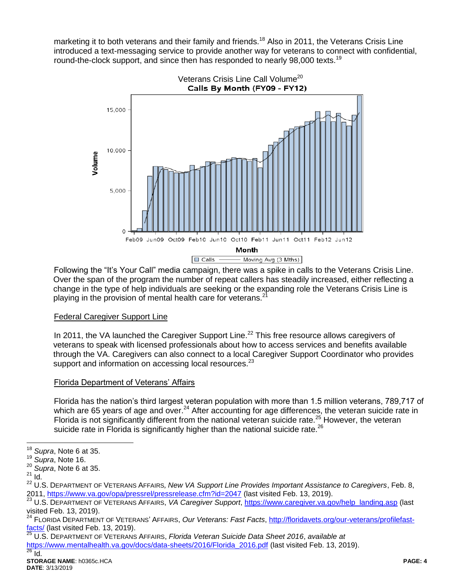marketing it to both veterans and their family and friends.<sup>18</sup> Also in 2011, the Veterans Crisis Line introduced a text-messaging service to provide another way for veterans to connect with confidential, round-the-clock support, and since then has responded to nearly 98,000 texts.<sup>19</sup>



Following the "It's Your Call" media campaign, there was a spike in calls to the Veterans Crisis Line. Over the span of the program the number of repeat callers has steadily increased, either reflecting a change in the type of help individuals are seeking or the expanding role the Veterans Crisis Line is playing in the provision of mental health care for veterans.<sup>21</sup>

## Federal Caregiver Support Line

In 2011, the VA launched the Caregiver Support Line.<sup>22</sup> This free resource allows caregivers of veterans to speak with licensed professionals about how to access services and benefits available through the VA. Caregivers can also connect to a local Caregiver Support Coordinator who provides support and information on accessing local resources.<sup>23</sup>

# Florida Department of Veterans' Affairs

Florida has the nation's third largest veteran population with more than 1.5 million veterans, 789,717 of which are 65 years of age and over.<sup>24</sup> After accounting for age differences, the veteran suicide rate in Florida is not significantly different from the national veteran suicide rate.<sup>25</sup> However, the veteran suicide rate in Florida is significantly higher than the national suicide rate.<sup>26</sup>

 $\overline{a}$ <sup>18</sup> *Supra*, Note 6 at 35.

<sup>19</sup> *Supra*, Note 16.

<sup>20</sup> *Supra*, Note 6 at 35.

 $21$  Id.

<sup>22</sup> U.S. DEPARTMENT OF VETERANS AFFAIRS*, New VA Support Line Provides Important Assistance to Caregivers*, Feb. 8, 2011,<https://www.va.gov/opa/pressrel/pressrelease.cfm?id=2047> (last visited Feb. 13, 2019).

<sup>23</sup> U.S. DEPARTMENT OF VETERANS AFFAIRS, *VA Caregiver Support*, [https://www.caregiver.va.gov/help\\_landing.asp](https://www.caregiver.va.gov/help_landing.asp) (last visited Feb. 13, 2019).

<sup>24</sup> FLORIDA DEPARTMENT OF VETERANS' AFFAIRS, *Our Veterans: Fast Facts*, [http://floridavets.org/our-veterans/profilefast-](http://floridavets.org/our-veterans/profilefast-facts/) $\frac{\text{facts}}{\text{25}}$  (last visited Feb. 13, 2019).

<sup>25</sup> U.S. DEPARTMENT OF VETERANS AFFAIRS, *Florida Veteran Suicide Data Sheet 2016*, *available at*

[https://www.mentalhealth.va.gov/docs/data-sheets/2016/Florida\\_2016.pdf](https://www.mentalhealth.va.gov/docs/data-sheets/2016/Florida_2016.pdf) (last visited Feb. 13, 2019).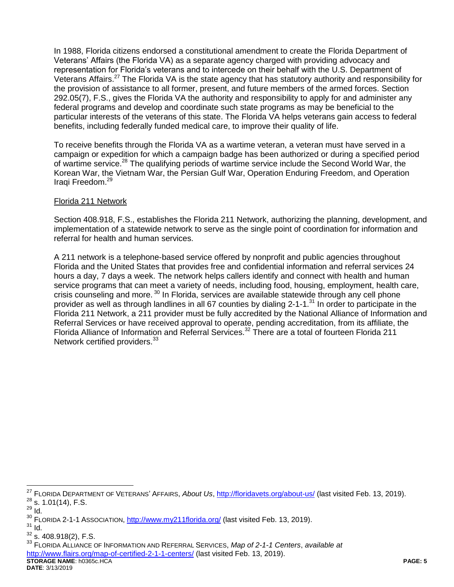In 1988, Florida citizens endorsed a constitutional amendment to create the Florida Department of Veterans' Affairs (the Florida VA) as a separate agency charged with providing advocacy and representation for Florida's veterans and to intercede on their behalf with the U.S. Department of Veterans Affairs.<sup>27</sup> The Florida VA is the state agency that has statutory authority and responsibility for the provision of assistance to all former, present, and future members of the armed forces. Section 292.05(7), F.S., gives the Florida VA the authority and responsibility to apply for and administer any federal programs and develop and coordinate such state programs as may be beneficial to the particular interests of the veterans of this state. The Florida VA helps veterans gain access to federal benefits, including federally funded medical care, to improve their quality of life.

To receive benefits through the Florida VA as a wartime veteran, a veteran must have served in a campaign or expedition for which a campaign badge has been authorized or during a specified period of wartime service.<sup>28</sup> The qualifying periods of wartime service include the Second World War, the Korean War, the Vietnam War, the Persian Gulf War, Operation Enduring Freedom, and Operation Iraqi Freedom. 29

## Florida 211 Network

Section 408.918, F.S., establishes the Florida 211 Network, authorizing the planning, development, and implementation of a statewide network to serve as the single point of coordination for information and referral for health and human services.

A 211 network is a telephone-based service offered by nonprofit and public agencies throughout Florida and the United States that provides free and confidential information and referral services 24 hours a day, 7 days a week. The network helps callers identify and connect with health and human service programs that can meet a variety of needs, including food, housing, employment, health care, crisis counseling and more. <sup>30</sup> In Florida, services are available statewide through any cell phone provider as well as through landlines in all 67 counties by dialing 2-1-1.<sup>31</sup> In order to participate in the Florida 211 Network, a 211 provider must be fully accredited by the National Alliance of Information and Referral Services or have received approval to operate, pending accreditation, from its affiliate, the Florida Alliance of Information and Referral Services.<sup>32</sup> There are a total of fourteen Florida 211 Network certified providers.<sup>33</sup>

 $\overline{a}$ 

**STORAGE NAME**: h0365c.HCA **PAGE: 5** <sup>33</sup> FLORIDA ALLIANCE OF INFORMATION AND REFERRAL SERVICES, *Map of 2-1-1 Centers*, *available at* <http://www.flairs.org/map-of-certified-2-1-1-centers/> (last visited Feb. 13, 2019).

**DATE**: 3/13/2019

<sup>27</sup> FLORIDA DEPARTMENT OF VETERANS' AFFAIRS, *About Us*,<http://floridavets.org/about-us/> (last visited Feb. 13, 2019).  $^{28}$  s. 1.01(14), F.S.

<sup>29</sup> Id.

<sup>&</sup>lt;sup>30</sup> FLORIDA 2-1-1 ASSOCIATION,<http://www.my211florida.org/> (last visited Feb. 13, 2019).

 $31$  Id.

 $32$  s. 408.918(2), F.S.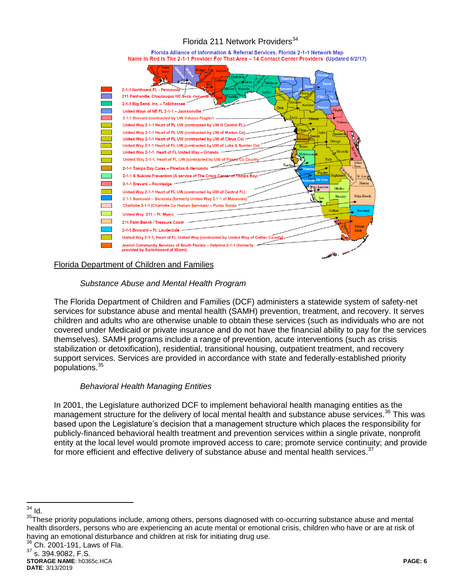# Florida 211 Network Providers<sup>34</sup>

Florida Alliance of Information & Referral Services, Florida 2-1-1 Network Map Name In Red Is The 2-1-1 Provider For That Area - 14 Contact Center Providers (Updated 6/2/17)



#### Florida Department of Children and Families

## *Substance Abuse and Mental Health Program*

The Florida Department of Children and Families (DCF) administers a statewide system of safety-net services for substance abuse and mental health (SAMH) prevention, treatment, and recovery. It serves children and adults who are otherwise unable to obtain these services (such as individuals who are not covered under Medicaid or private insurance and do not have the financial ability to pay for the services themselves). SAMH programs include a range of prevention, acute interventions (such as crisis stabilization or detoxification), residential, transitional housing, outpatient treatment, and recovery support services. Services are provided in accordance with state and federally-established priority populations.<sup>35</sup>

## *Behavioral Health Managing Entities*

In 2001, the Legislature authorized DCF to implement behavioral health managing entities as the management structure for the delivery of local mental health and substance abuse services.<sup>36</sup> This was based upon the Legislature's decision that a management structure which places the responsibility for publicly-financed behavioral health treatment and prevention services within a single private, nonprofit entity at the local level would promote improved access to care; promote service continuity; and provide for more efficient and effective delivery of substance abuse and mental health services. $37$ 

 $\overline{a}$  $34$  Id.

<sup>&</sup>lt;sup>35</sup>These priority populations include, among others, persons diagnosed with co-occurring substance abuse and mental health disorders, persons who are experiencing an acute mental or emotional crisis, children who have or are at risk of having an emotional disturbance and children at risk for initiating drug use.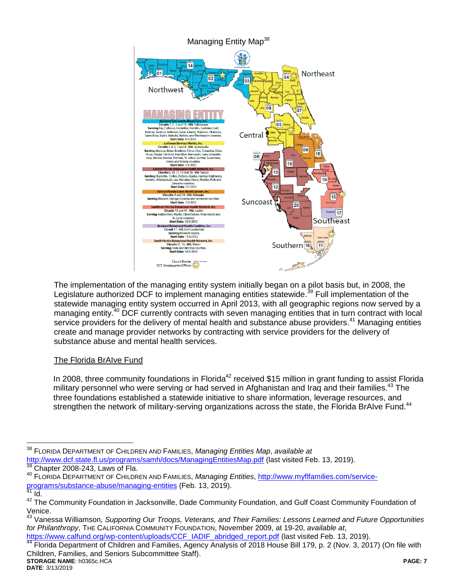

The implementation of the managing entity system initially began on a pilot basis but, in 2008, the Legislature authorized DCF to implement managing entities statewide.<sup>39</sup> Full implementation of the statewide managing entity system occurred in April 2013, with all geographic regions now served by a managing entity.<sup>40</sup> DCF currently contracts with seven managing entities that in turn contract with local service providers for the delivery of mental health and substance abuse providers.<sup>41</sup> Managing entities create and manage provider networks by contracting with service providers for the delivery of substance abuse and mental health services.

# The Florida BrAIve Fund

In 2008, three community foundations in Florida<sup>42</sup> received \$15 million in grant funding to assist Florida military personnel who were serving or had served in Afghanistan and Iraq and their families.<sup>43</sup> The three foundations established a statewide initiative to share information, leverage resources, and strengthen the network of military-serving organizations across the state, the Florida BrAIve Fund.<sup>44</sup>

[https://www.calfund.org/wp-content/uploads/CCF\\_IADIF\\_abridged\\_report.pdf](https://www.calfund.org/wp-content/uploads/CCF_IADIF_abridged_report.pdf) (last visited Feb. 13, 2019).

**STORAGE NAME**: h0365c.HCA **PAGE: 7** Advisom William Community of Children and Families, Agency Analysis of 2018 House Bill 179, p. 2 (Nov. 3, 2017) (On file with Children, Families, and Seniors Subcommittee Staff).

 $\overline{a}$ <sup>38</sup> FLORIDA DEPARTMENT OF CHILDREN AND FAMILIES, *Managing Entities Map*, *available at* <http://www.dcf.state.fl.us/programs/samh/docs/ManagingEntitiesMap.pdf> (last visited Feb. 13, 2019). Chapter 2008-243, Laws of Fla.

<sup>40</sup> FLORIDA DEPARTMENT OF CHILDREN AND FAMILIES, *Managing Entities*, [http://www.myflfamilies.com/service](http://www.myflfamilies.com/service-programs/substance-abuse/managing-entities)[programs/substance-abuse/managing-entities](http://www.myflfamilies.com/service-programs/substance-abuse/managing-entities) (Feb. 13, 2019).

 $41$  Id.

<sup>&</sup>lt;sup>42</sup> The Community Foundation in Jacksonville, Dade Community Foundation, and Gulf Coast Community Foundation of Venice.

<sup>43</sup> Vanessa Williamson*, Supporting Our Troops, Veterans, and Their Families: Lessons Learned and Future Opportunities for Philanthropy*, THE CALIFORNIA COMMUNITY FOUNDATION, November 2009, at 19-20, *available at*,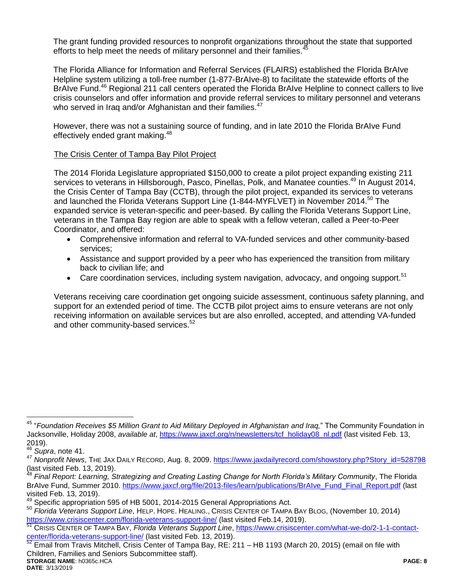The grant funding provided resources to nonprofit organizations throughout the state that supported efforts to help meet the needs of military personnel and their families.<sup>4</sup>

The Florida Alliance for Information and Referral Services (FLAIRS) established the Florida BrAIve Helpline system utilizing a toll-free number (1-877-BrAIve-8) to facilitate the statewide efforts of the BrAIve Fund.<sup>46</sup> Regional 211 call centers operated the Florida BrAIve Helpline to connect callers to live crisis counselors and offer information and provide referral services to military personnel and veterans who served in Iraq and/or Afghanistan and their families.<sup>47</sup>

However, there was not a sustaining source of funding, and in late 2010 the Florida BrAIve Fund effectively ended grant making.<sup>48</sup>

## The Crisis Center of Tampa Bay Pilot Project

The 2014 Florida Legislature appropriated \$150,000 to create a pilot project expanding existing 211 services to veterans in Hillsborough, Pasco, Pinellas, Polk, and Manatee counties.<sup>49</sup> In August 2014, the Crisis Center of Tampa Bay (CCTB), through the pilot project, expanded its services to veterans and launched the Florida Veterans Support Line (1-844-MYFLVET) in November 2014.<sup>50</sup> The expanded service is veteran-specific and peer-based. By calling the Florida Veterans Support Line, veterans in the Tampa Bay region are able to speak with a fellow veteran, called a Peer-to-Peer Coordinator, and offered:

- Comprehensive information and referral to VA-funded services and other community-based services;
- Assistance and support provided by a peer who has experienced the transition from military back to civilian life; and
- Care coordination services, including system navigation, advocacy, and ongoing support.<sup>51</sup>

Veterans receiving care coordination get ongoing suicide assessment, continuous safety planning, and support for an extended period of time. The CCTB pilot project aims to ensure veterans are not only receiving information on available services but are also enrolled, accepted, and attending VA-funded and other community-based services.<sup>52</sup>

 $\overline{a}$ 

**STORAGE NAME**: h0365c.HCA **PAGE: 8** <sup>52</sup> Email from Travis Mitchell, Crisis Center of Tampa Bay, RE: 211 – HB 1193 (March 20, 2015) (email on file with Children, Families and Seniors Subcommittee staff).

<sup>45</sup> "*Foundation Receives \$5 Million Grant to Aid Military Deployed in Afghanistan and Iraq,*" The Community Foundation in Jacksonville, Holiday 2008, *available at*, [https://www.jaxcf.org/n/newsletters/tcf\\_holiday08\\_nl.pdf](https://www.jaxcf.org/n/newsletters/tcf_holiday08_nl.pdf) (last visited Feb. 13, 2019).

<sup>46</sup> *Supra*, note 41.

<sup>&</sup>lt;sup>47</sup> Nonprofit News, THE JAX DAILY RECORD, Aug. 8, 2009. [https://www.jaxdailyrecord.com/showstory.php?Story\\_id=528798](https://www.jaxdailyrecord.com/showstory.php?Story_id=528798) (last visited Feb. 13, 2019).

<sup>48</sup> *Final Report: Learning, Strategizing and Creating Lasting Change for North Florida's Military Community*, The Florida BrAIve Fund, Summer 2010. [https://www.jaxcf.org/file/2013-files/learn/publications/BrAIve\\_Fund\\_Final\\_Report.pdf](https://www.jaxcf.org/file/2013-files/learn/publications/BrAIve_Fund_Final_Report.pdf) (last visited Feb. 13, 2019).

<sup>&</sup>lt;sup>49</sup> Specific appropriation 595 of HB 5001, 2014-2015 General Appropriations Act.

<sup>50</sup> *Florida Veterans Support Line*, HELP. HOPE. HEALING., CRISIS CENTER OF TAMPA BAY BLOG, (November 10, 2014) <https://www.crisiscenter.com/florida-veterans-support-line/> (last visited Feb.14, 2019).

<sup>51</sup> CRISIS CENTER OF TAMPA BAY, *Florida Veterans Support Line*, [https://www.crisiscenter.com/what-we-do/2-1-1-contact](https://www.crisiscenter.com/what-we-do/2-1-1-contact-center/florida-veterans-support-line/)[center/florida-veterans-support-line/](https://www.crisiscenter.com/what-we-do/2-1-1-contact-center/florida-veterans-support-line/) (last visited Feb. 13, 2019).<br><sup>52</sup> Email from Travia Mitchell C. (2019).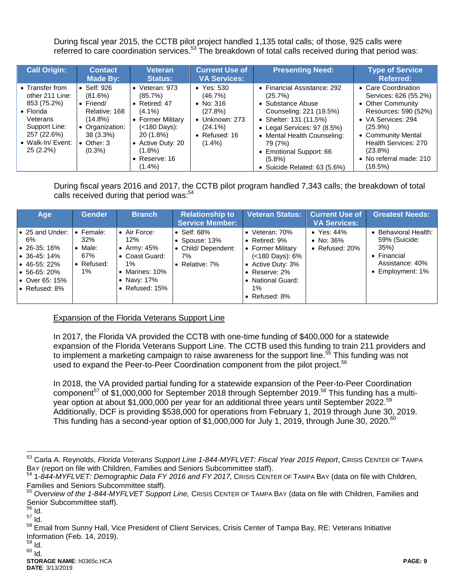During fiscal year 2015, the CCTB pilot project handled 1,135 total calls; of those, 925 calls were referred to care coordination services.<sup>53</sup> The breakdown of total calls received during that period was:

| <b>Call Origin:</b>                                                                                                                                  | <b>Contact</b><br>Made By:                                                                                                                    | Veteran<br><b>Status:</b>                                                                                                                                                             | <b>Current Use of</b><br><b>VA Services:</b>                                                                                    | <b>Presenting Need:</b>                                                                                                                                                                                                                                           | <b>Type of Service</b><br><b>Referred:</b>                                                                                                                                                                                      |
|------------------------------------------------------------------------------------------------------------------------------------------------------|-----------------------------------------------------------------------------------------------------------------------------------------------|---------------------------------------------------------------------------------------------------------------------------------------------------------------------------------------|---------------------------------------------------------------------------------------------------------------------------------|-------------------------------------------------------------------------------------------------------------------------------------------------------------------------------------------------------------------------------------------------------------------|---------------------------------------------------------------------------------------------------------------------------------------------------------------------------------------------------------------------------------|
| • Transfer from<br>other 211 Line:<br>853 (75.2%)<br>$\bullet$ Florida<br>Veterans<br>Support Line:<br>257 (22.6%)<br>• Walk-In/ Event:<br>25 (2.2%) | Self: 926<br>(81.6%)<br>$\bullet$ Friend/<br>Relative: 168<br>$(14.8\%)$<br>• Organization:<br>$38(3.3\%)$<br>$\bullet$ Other: 3<br>$(0.3\%)$ | $\bullet$ Veteran: 973<br>(85.7%)<br>• Retired: $47$<br>$(4.1\%)$<br>• Former Military<br>(<180 Days):<br>20 (1.8%)<br>• Active Duty: 20<br>$(1.8\%)$<br>• Reserve: $16$<br>$(1.4\%)$ | $\bullet$ Yes: 530<br>(46.7%)<br>• No: $316$<br>(27.8%)<br>$\bullet$ Unknown: 273<br>$(24.1\%)$<br>• Refused: $16$<br>$(1.4\%)$ | • Financial Assistance: 292<br>(25.7%)<br>• Substance Abuse<br>Counseling: 221 (19.5%)<br>• Shelter: 131 (11.5%)<br>• Legal Services: 97 (8.5%)<br>• Mental Health Counseling:<br>79 (7%)<br>• Emotional Support: 66<br>$(5.8\%)$<br>• Suicide Related: 63 (5.6%) | • Care Coordination<br>Services: 626 (55.2%)<br>• Other Community<br>Resources: 590 (52%)<br>• VA Services: 294<br>$(25.9\%)$<br>• Community Mental<br>Health Services: 270<br>$(23.8\%)$<br>• No referral made: 210<br>(18.5%) |

During fiscal years 2016 and 2017, the CCTB pilot program handled 7,343 calls; the breakdown of total calls received during that period was:<sup>54</sup>

| Age                                                                                                                                                              | <b>Gender</b>                                                      | <b>Branch</b>                                                                                          | <b>Relationship to</b><br><b>Service Member:</b>                                    | <b>Veteran Status:</b>                                                                                                                                                        | <b>Current Use of</b><br><b>VA Services:</b>            | <b>Greatest Needs:</b>                                                                                   |
|------------------------------------------------------------------------------------------------------------------------------------------------------------------|--------------------------------------------------------------------|--------------------------------------------------------------------------------------------------------|-------------------------------------------------------------------------------------|-------------------------------------------------------------------------------------------------------------------------------------------------------------------------------|---------------------------------------------------------|----------------------------------------------------------------------------------------------------------|
| l• 25 and Under:<br>6%<br>$\bullet$ 26-35:16%<br>$\bullet$ 36-45:14%<br>$\bullet$ 46-55: 22%<br>$\bullet$ 56-65: 20%<br>$\bullet$ Over 65: 15%<br>I• Refused: 8% | Female:<br>$\bullet$<br>32%<br>Male:<br>67%<br>• Refused:<br>$1\%$ | • Air Force:<br>12%<br>Army: 45%<br>Coast Guard:<br>$1\%$<br>Marines: 10%<br>Navy: 17%<br>Refused: 15% | $\bullet$ Self: 68%<br>• Spouse: $13\%$<br>• Child/Dependent:<br>7%<br>Relative: 7% | • Veteran: $70\%$<br>• Retired: $9\%$<br>• Former Military<br>$(<180$ Days): $6\%$<br>• Active Duty: 3%<br>• Reserve: $2\%$<br>• National Guard:<br>$1\%$<br>• Refused: $8\%$ | $\bullet$ Yes: 44%<br>• No: $36\%$<br>• Refused: $20\%$ | • Behavioral Health:<br>59% (Suicide:<br>35%<br>$\bullet$ Financial<br>Assistance: 40%<br>Employment: 1% |

Expansion of the Florida Veterans Support Line

In 2017, the Florida VA provided the CCTB with one-time funding of \$400,000 for a statewide expansion of the Florida Veterans Support Line. The CCTB used this funding to train 211 providers and to implement a marketing campaign to raise awareness for the support line.<sup>55</sup> This funding was not used to expand the Peer-to-Peer Coordination component from the pilot project.<sup>56</sup>

In 2018, the VA provided partial funding for a statewide expansion of the Peer-to-Peer Coordination component<sup>57</sup> of \$1,000,000 for September 2018 through September 2019.<sup>58</sup> This funding has a multiyear option at about \$1,000,000 per year for an additional three years until September 2022.<sup>59</sup> Additionally, DCF is providing \$538,000 for operations from February 1, 2019 through June 30, 2019. This funding has a second-year option of  $$1,000,000$  for July 1, 2019, through June 30, 2020.<sup>60</sup>

 $\overline{a}$ 

<sup>53</sup> Carla A. Reynolds, *Florida Veterans Support Line 1-844-MYFLVET: Fiscal Year 2015 Report*, CRISIS CENTER OF TAMPA BAY (report on file with Children, Families and Seniors Subcommittee staff).

<sup>54</sup> 1*-844-MYFLVET: Demographic Data FY 2016 and FY 2017,* CRISIS CENTER OF TAMPA BAY (data on file with Children, Families and Seniors Subcommittee staff).

<sup>55</sup> *Overview of the 1-844-MYFLVET Support Line,* CRISIS CENTER OF TAMPA BAY (data on file with Children, Families and Senior Subcommittee staff).

<sup>56</sup> Id.

<sup>57</sup> Id.

<sup>58</sup> Email from Sunny Hall, Vice President of Client Services, Crisis Center of Tampa Bay, RE: Veterans Initiative Information (Feb. 14, 2019).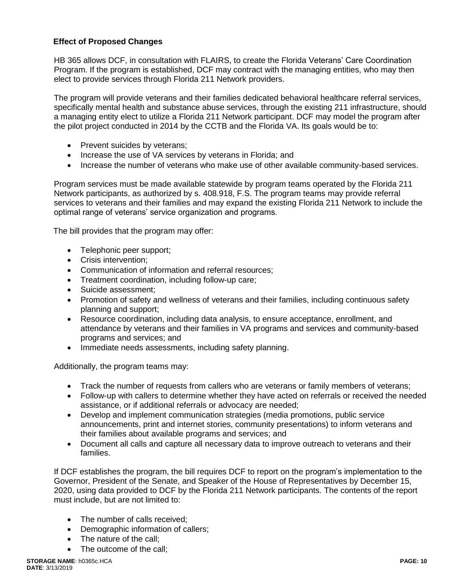# **Effect of Proposed Changes**

HB 365 allows DCF, in consultation with FLAIRS, to create the Florida Veterans' Care Coordination Program. If the program is established, DCF may contract with the managing entities, who may then elect to provide services through Florida 211 Network providers.

The program will provide veterans and their families dedicated behavioral healthcare referral services, specifically mental health and substance abuse services, through the existing 211 infrastructure, should a managing entity elect to utilize a Florida 211 Network participant. DCF may model the program after the pilot project conducted in 2014 by the CCTB and the Florida VA. Its goals would be to:

- Prevent suicides by veterans;
- Increase the use of VA services by veterans in Florida; and
- Increase the number of veterans who make use of other available community-based services.

Program services must be made available statewide by program teams operated by the Florida 211 Network participants, as authorized by s. 408.918, F.S. The program teams may provide referral services to veterans and their families and may expand the existing Florida 211 Network to include the optimal range of veterans' service organization and programs.

The bill provides that the program may offer:

- Telephonic peer support;
- Crisis intervention:
- Communication of information and referral resources;
- Treatment coordination, including follow-up care;
- Suicide assessment;
- Promotion of safety and wellness of veterans and their families, including continuous safety planning and support;
- Resource coordination, including data analysis, to ensure acceptance, enrollment, and attendance by veterans and their families in VA programs and services and community-based programs and services; and
- Immediate needs assessments, including safety planning.

Additionally, the program teams may:

- Track the number of requests from callers who are veterans or family members of veterans;
- Follow-up with callers to determine whether they have acted on referrals or received the needed assistance, or if additional referrals or advocacy are needed;
- Develop and implement communication strategies (media promotions, public service announcements, print and internet stories, community presentations) to inform veterans and their families about available programs and services; and
- Document all calls and capture all necessary data to improve outreach to veterans and their families.

If DCF establishes the program, the bill requires DCF to report on the program's implementation to the Governor, President of the Senate, and Speaker of the House of Representatives by December 15, 2020, using data provided to DCF by the Florida 211 Network participants. The contents of the report must include, but are not limited to:

- The number of calls received:
- Demographic information of callers;
- The nature of the call:
- The outcome of the call: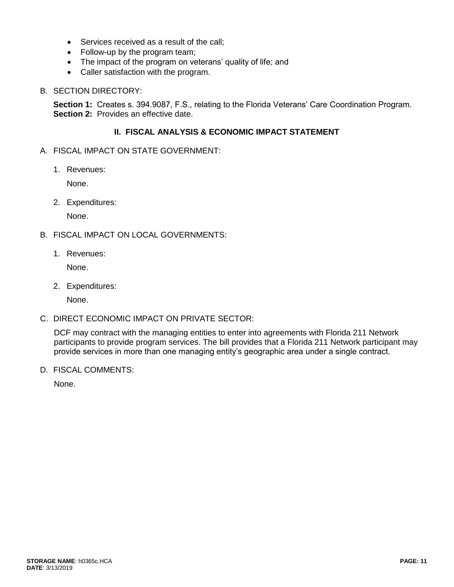- Services received as a result of the call;
- Follow-up by the program team;
- The impact of the program on veterans' quality of life; and
- Caller satisfaction with the program.

#### B. SECTION DIRECTORY:

**Section 1:** Creates s. 394.9087, F.S., relating to the Florida Veterans' Care Coordination Program. **Section 2:** Provides an effective date.

### **II. FISCAL ANALYSIS & ECONOMIC IMPACT STATEMENT**

- A. FISCAL IMPACT ON STATE GOVERNMENT:
	- 1. Revenues:

None.

2. Expenditures:

None.

- B. FISCAL IMPACT ON LOCAL GOVERNMENTS:
	- 1. Revenues:

None.

2. Expenditures:

None.

C. DIRECT ECONOMIC IMPACT ON PRIVATE SECTOR:

DCF may contract with the managing entities to enter into agreements with Florida 211 Network participants to provide program services. The bill provides that a Florida 211 Network participant may provide services in more than one managing entity's geographic area under a single contract.

D. FISCAL COMMENTS:

None.